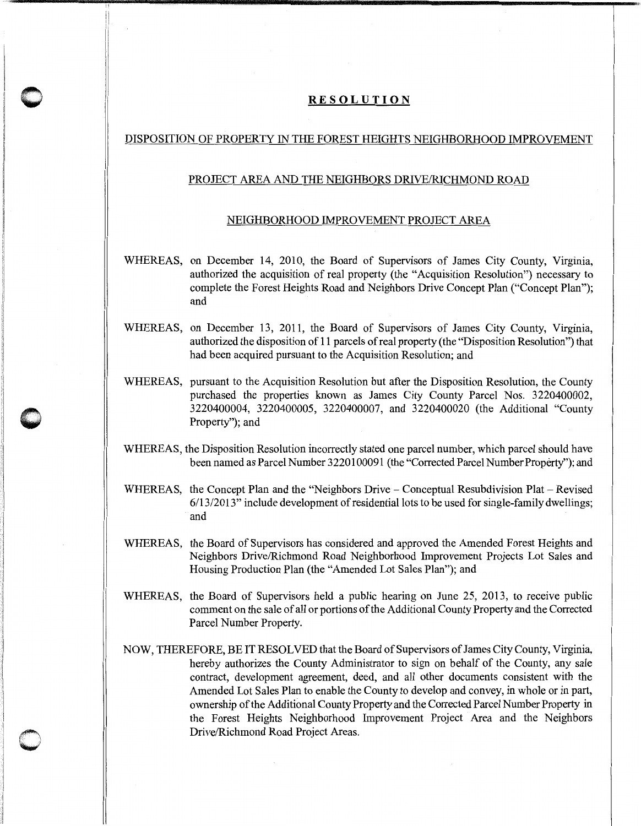## **RESOLUTION**

!I !i

**0** 

 $\bigcirc$ 

## DISPOSITION OF PROPERTY IN THE FOREST HEIGHTS NEIGHBORHOOD IMPROVEMENT

## PROJECT AREA AND THE NEIGHBORS DRIVE/RICHMOND ROAD

## NEIGHBORHOOD IMPROVEMENT PROJECT AREA

- WHEREAS, on December 14, 2010, the Board of Supervisors of James City County, Virginia, authorized the acquisition of real property (the "Acquisition Resolution") necessary to complete the Forest Heights Road and Neighbors Drive Concept Plan ("Concept Plan"); and
- WHEREAS, on December 13, 2011, the Board of Supervisors of James City County, Virginia, authorized the disposition of 11 parcels of real property (the "Disposition Resolution") that had been acquired pursuant to the Acquisition Resolution; and
- WHEREAS, pursuant to the Acquisition Resolution but after the Disposition Resolution, the County purchased the properties known as James City County Parcel Nos. 3220400002, 3220400004, 3220400005, 3220400007, and 3220400020 (the Additional "County Property"); and
- WHEREAS, the Disposition Resolution incorrectly stated one parcel number, which parcel should have been named as Parcel Number 3220100091 (the "Corrected Parcel Number Property''); and
- WHEREAS, the Concept Plan and the "Neighbors Drive- Conceptual Resubdivision Plat- Revised 6/13/2013" include development of residential lots to be used for single-family dwellings; and
- WHEREAS, the Board of Supervisors has considered and approved the Amended Forest Heights and Neighbors Drive/Richmond Road Neighborhood Improvement Projects Lot Sales and Housing Production Plan (the "Amended Lot Sales Plan"); and
- WHEREAS, the Board of Supervisors held a public hearing on June 25, 2013, to receive public comment on the sale of all or portions of the Additional County Property and the Corrected Parcel Number Property.
- NOW, THEREFORE, BE IT RESOLVED that the Board of Supervisors of James City County, Virginia, hereby authorizes the County Administrator to sign on behalf of the County, any sale contract, development agreement, deed, and all other documents consistent with the Amended Lot Sales Plan to enable the County to develop and convey, in whole or in part, ownership of the Additional County Property and the Corrected Parcel Number Property in the Forest Heights Neighborhood Improvement Project Area and the Neighbors Drive/Richmond Road Project Areas.